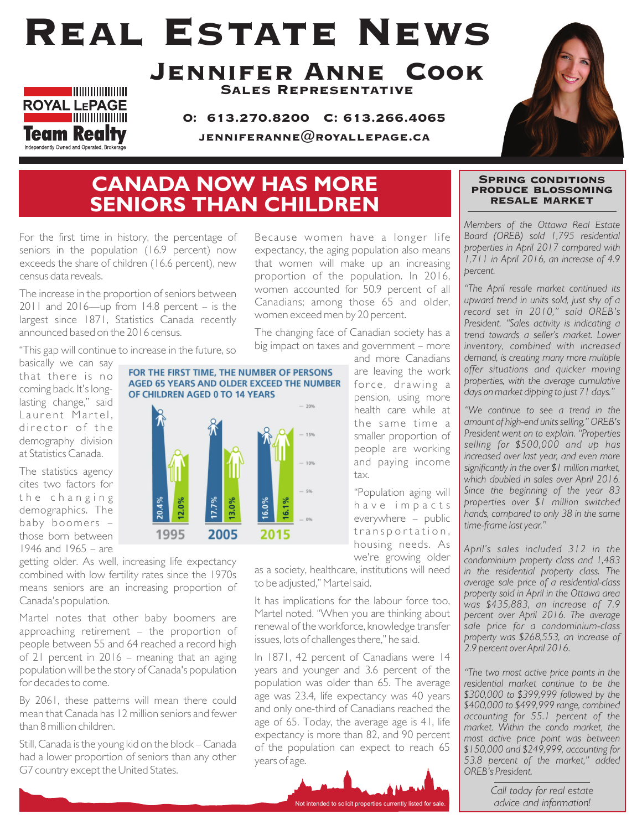# Real Estate News



Jennifer Anne Cook Sales Representative

O: 613.270.8200 C: 613.266.4065 JENNIFERANNE $@$ ROYALLEPAGE.CA



## **CANADA NOW HAS MORE SENIORS THAN CHILDREN**

For the first time in history, the percentage of seniors in the population (16.9 percent) now exceeds the share of children (16.6 percent), new census data reveals.

The increase in the proportion of seniors between 2011 and 2016—up from 14.8 percent – is the largest since 1871, Statistics Canada recently announced based on the 2016 census.

"This gap will continue to increase in the future, so

basically we can say that there is no coming back. It's longlasting change," said Laurent Martel, director of the demography division at Statistics Canada.

The statistics agency cites two factors for the changing demographics. The baby boomers – those born between 1946 and 1965 – are

getting older. As well, increasing life expectancy combined with low fertility rates since the 1970s means seniors are an increasing proportion of Canada's population.

Martel notes that other baby boomers are approaching retirement – the proportion of people between 55 and 64 reached a record high of 21 percent in 2016 – meaning that an aging population will be the story of Canada's population for decades to come.

By 2061, these patterns will mean there could mean that Canada has 12 million seniors and fewer than 8 million children.

Still, Canada is the young kid on the block – Canada had a lower proportion of seniors than any other G7 country except the United States.

Because women have a longer life expectancy, the aging population also means that women will make up an increasing proportion of the population. In 2016, women accounted for 50.9 percent of all Canadians; among those 65 and older, women exceed men by 20 percent.

The changing face of Canadian society has a big impact on taxes and government – more

and more Canadians are leaving the work force, drawing a pension, using more health care while at the same time a smaller proportion of people are working and paying income tax.

"Population aging will have impacts everywhere – public transportation, housing needs. As we're growing older

as a society, healthcare, institutions will need to be adjusted," Martel said.

It has implications for the labour force too, Martel noted. "When you are thinking about renewal of the workforce, knowledge transfer issues, lots of challenges there," he said.

In 1871, 42 percent of Canadians were 14 years and younger and 3.6 percent of the population was older than 65. The average age was 23.4, life expectancy was 40 years and only one-third of Canadians reached the age of 65. Today, the average age is 41, life expectancy is more than 82, and 90 percent of the population can expect to reach 65 years of age.



#### Spring conditions produce blossoming resale market

*Members of the Ottawa Real Estate Board (OREB) sold 1,795 residential properties in April 2017 compared with 1,711 in April 2016, an increase of 4.9 percent.* 

*"The April resale market continued its upward trend in units sold, just shy of a record set in 2010," said OREB's President. "Sales activity is indicating a trend towards a seller's market. Lower inventory, combined with increased demand, is creating many more multiple offer situations and quicker moving properties, with the average cumulative days on market dipping to just 71 days."* 

*"We continue to see a trend in the amount of high-end units selling," OREB's President went on to explain. "Properties selling for \$500,000 and up has increased over last year, and even more significantly in the over \$1 million market, which doubled in sales over April 2016. Since the beginning of the year 83 properties over \$1 million switched hands, compared to only 38 in the same time-frame last year."*

*April's sales included 312 in the condominium property class and 1,483 in the residential property class. The average sale price of a residential-class property sold in April in the Ottawa area was \$435,883, an increase of 7.9 percent over April 2016. The average sale price for a condominium-class property was \$268,553, an increase of 2.9 percent over April 2016.* 

*"The two most active price points in the residential market continue to be the \$300,000 to \$399,999 followed by the \$400,000 to \$499,999 range, combined accounting for 55.1 percent of the market. Within the condo market, the most active price point was between \$150,000 and \$249,999, accounting for 53.8 percent of the market," added OREB's President.*

> *Call today for real estate advice and information!*